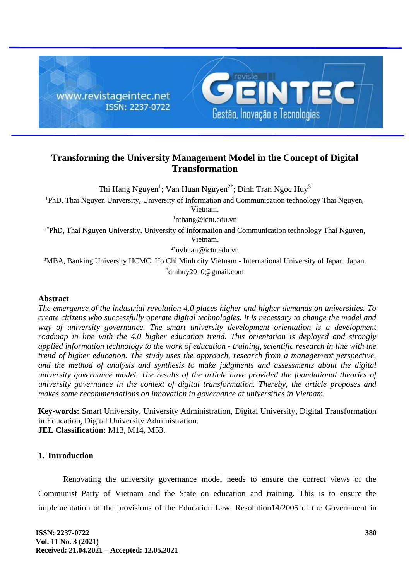

# **Transforming the University Management Model in the Concept of Digital Transformation**

Thi Hang Nguyen<sup>1</sup>; Van Huan Nguyen<sup>2\*</sup>; Dinh Tran Ngoc Huy<sup>3</sup>

<sup>1</sup>PhD, Thai Nguyen University, University of Information and Communication technology Thai Nguyen,

Vietnam.

<sup>1</sup>nthang@ictu.edu.vn

 $2*PhD$ , Thai Nguyen University, University of Information and Communication technology Thai Nguyen, Vietnam.

 $2^*$ nvhuan@ictu.edu.vn

<sup>3</sup>MBA, Banking University HCMC, Ho Chi Minh city Vietnam - International University of Japan, Japan. <sup>3</sup>dtnhuy2010@gmail.com

### **Abstract**

*The emergence of the industrial revolution 4.0 places higher and higher demands on universities. To create citizens who successfully operate digital technologies, it is necessary to change the model and way of university governance. The smart university development orientation is a development roadmap in line with the 4.0 higher education trend. This orientation is deployed and strongly applied information technology to the work of education - training, scientific research in line with the trend of higher education. The study uses the approach, research from a management perspective, and the method of analysis and synthesis to make judgments and assessments about the digital university governance model. The results of the article have provided the foundational theories of university governance in the context of digital transformation. Thereby, the article proposes and makes some recommendations on innovation in governance at universities in Vietnam.*

**Key-words:** Smart University, University Administration, Digital University, Digital Transformation in Education, Digital University Administration. **JEL Classification:** M13, M14, M53.

## **1. Introduction**

Renovating the university governance model needs to ensure the correct views of the Communist Party of Vietnam and the State on education and training. This is to ensure the implementation of the provisions of the Education Law. Resolution14/2005 of the Government in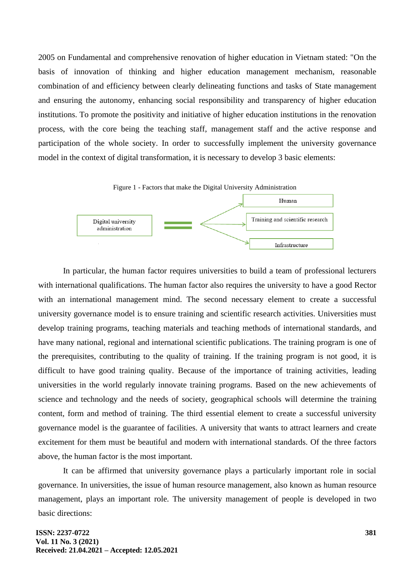2005 on Fundamental and comprehensive renovation of higher education in Vietnam stated: "On the basis of innovation of thinking and higher education management mechanism, reasonable combination of and efficiency between clearly delineating functions and tasks of State management and ensuring the autonomy, enhancing social responsibility and transparency of higher education institutions. To promote the positivity and initiative of higher education institutions in the renovation process, with the core being the teaching staff, management staff and the active response and participation of the whole society. In order to successfully implement the university governance model in the context of digital transformation, it is necessary to develop 3 basic elements:



Infrastructure

In particular, the human factor requires universities to build a team of professional lecturers with international qualifications. The human factor also requires the university to have a good Rector with an international management mind. The second necessary element to create a successful university governance model is to ensure training and scientific research activities. Universities must develop training programs, teaching materials and teaching methods of international standards, and have many national, regional and international scientific publications. The training program is one of the prerequisites, contributing to the quality of training. If the training program is not good, it is difficult to have good training quality. Because of the importance of training activities, leading universities in the world regularly innovate training programs. Based on the new achievements of science and technology and the needs of society, geographical schools will determine the training content, form and method of training. The third essential element to create a successful university governance model is the guarantee of facilities. A university that wants to attract learners and create excitement for them must be beautiful and modern with international standards. Of the three factors above, the human factor is the most important.

It can be affirmed that university governance plays a particularly important role in social governance. In universities, the issue of human resource management, also known as human resource management, plays an important role. The university management of people is developed in two basic directions:

Digital university administration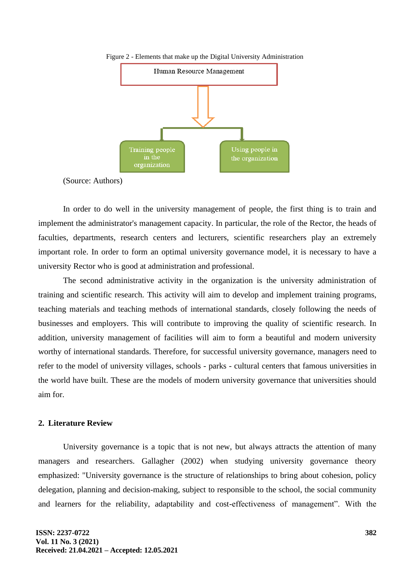

Figure 2 - Elements that make up the Digital University Administration

(Source: Authors)

In order to do well in the university management of people, the first thing is to train and implement the administrator's management capacity. In particular, the role of the Rector, the heads of faculties, departments, research centers and lecturers, scientific researchers play an extremely important role. In order to form an optimal university governance model, it is necessary to have a university Rector who is good at administration and professional.

The second administrative activity in the organization is the university administration of training and scientific research. This activity will aim to develop and implement training programs, teaching materials and teaching methods of international standards, closely following the needs of businesses and employers. This will contribute to improving the quality of scientific research. In addition, university management of facilities will aim to form a beautiful and modern university worthy of international standards. Therefore, for successful university governance, managers need to refer to the model of university villages, schools - parks - cultural centers that famous universities in the world have built. These are the models of modern university governance that universities should aim for.

#### **2. Literature Review**

University governance is a topic that is not new, but always attracts the attention of many managers and researchers. Gallagher (2002) when studying university governance theory emphasized: "University governance is the structure of relationships to bring about cohesion, policy delegation, planning and decision-making, subject to responsible to the school, the social community and learners for the reliability, adaptability and cost-effectiveness of management". With the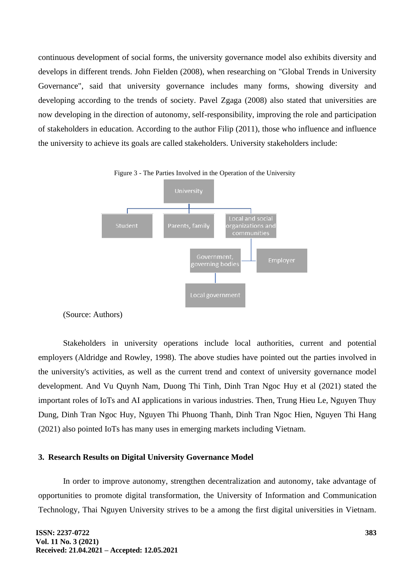continuous development of social forms, the university governance model also exhibits diversity and develops in different trends. John Fielden (2008), when researching on "Global Trends in University Governance", said that university governance includes many forms, showing diversity and developing according to the trends of society. Pavel Zgaga (2008) also stated that universities are now developing in the direction of autonomy, self-responsibility, improving the role and participation of stakeholders in education. According to the author Filip (2011), those who influence and influence the university to achieve its goals are called stakeholders. University stakeholders include:





(Source: Authors)

Stakeholders in university operations include local authorities, current and potential employers (Aldridge and Rowley, 1998). The above studies have pointed out the parties involved in the university's activities, as well as the current trend and context of university governance model development. And Vu Quynh Nam, Duong Thi Tinh, Dinh Tran Ngoc Huy et al (2021) stated the important roles of IoTs and AI applications in various industries. Then, Trung Hieu Le, Nguyen Thuy Dung, Dinh Tran Ngoc Huy, Nguyen Thi Phuong Thanh, Dinh Tran Ngoc Hien, Nguyen Thi Hang (2021) also pointed IoTs has many uses in emerging markets including Vietnam.

### **3. Research Results on Digital University Governance Model**

In order to improve autonomy, strengthen decentralization and autonomy, take advantage of opportunities to promote digital transformation, the University of Information and Communication Technology, Thai Nguyen University strives to be a among the first digital universities in Vietnam.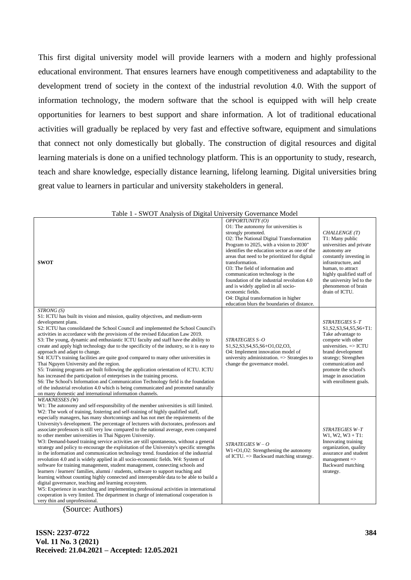This first digital university model will provide learners with a modern and highly professional educational environment. That ensures learners have enough competitiveness and adaptability to the development trend of society in the context of the industrial revolution 4.0. With the support of information technology, the modern software that the school is equipped with will help create opportunities for learners to best support and share information. A lot of traditional educational activities will gradually be replaced by very fast and effective software, equipment and simulations that connect not only domestically but globally. The construction of digital resources and digital learning materials is done on a unified technology platform. This is an opportunity to study, research, teach and share knowledge, especially distance learning, lifelong learning. Digital universities bring great value to learners in particular and university stakeholders in general.

| <b>SWOT</b>                                                                                                                                                                                                                                                                                                                                                                                                                                                                                                                                                                                                                                                                                                                                                                                                                                                                                                                                                                                                                                                                                                                                                                                                                                                                                                                                                                                                                                        | OPPORTUNITY(O)<br>O1: The autonomy for universities is<br>strongly promoted.<br>O2: The National Digital Transformation<br>Program to 2025, with a vision to 2030"<br>identifies the education sector as one of the<br>areas that need to be prioritized for digital<br>transformation.<br>O3: The field of information and<br>communication technology is the<br>foundation of the industrial revolution 4.0<br>and is widely applied in all socio-<br>economic fields.<br>O4: Digital transformation in higher<br>education blurs the boundaries of distance. | CHALLENGE (T)<br>T1: Many public<br>universities and private<br>autonomy are<br>constantly investing in<br>infrastructure, and<br>human, to attract<br>highly qualified staff of<br>the university led to the<br>phenomenon of brain<br>drain of ICTU.                  |
|----------------------------------------------------------------------------------------------------------------------------------------------------------------------------------------------------------------------------------------------------------------------------------------------------------------------------------------------------------------------------------------------------------------------------------------------------------------------------------------------------------------------------------------------------------------------------------------------------------------------------------------------------------------------------------------------------------------------------------------------------------------------------------------------------------------------------------------------------------------------------------------------------------------------------------------------------------------------------------------------------------------------------------------------------------------------------------------------------------------------------------------------------------------------------------------------------------------------------------------------------------------------------------------------------------------------------------------------------------------------------------------------------------------------------------------------------|-----------------------------------------------------------------------------------------------------------------------------------------------------------------------------------------------------------------------------------------------------------------------------------------------------------------------------------------------------------------------------------------------------------------------------------------------------------------------------------------------------------------------------------------------------------------|-------------------------------------------------------------------------------------------------------------------------------------------------------------------------------------------------------------------------------------------------------------------------|
| STRONG (S)<br>S1: ICTU has built its vision and mission, quality objectives, and medium-term<br>development plans.<br>S2: ICTU has consolidated the School Council and implemented the School Council's<br>activities in accordance with the provisions of the revised Education Law 2019.<br>S3: The young, dynamic and enthusiastic ICTU faculty and staff have the ability to<br>create and apply high technology due to the specificity of the industry, so it is easy to<br>approach and adapt to change.<br>S4: ICUT's training facilities are quite good compared to many other universities in<br>Thai Nguyen University and the region.<br>S5: Training programs are built following the application orientation of ICTU. ICTU<br>has increased the participation of enterprises in the training process.<br>S6: The School's Information and Communication Technology field is the foundation<br>of the industrial revolution 4.0 which is being communicated and promoted naturally<br>on many domestic and international information channels.                                                                                                                                                                                                                                                                                                                                                                                         | STRATEGIES S-O<br>S1, S2, S3, S4, S5, S6+O1, O2, O3,<br>O4: Implement innovation model of<br>university administration. $\Rightarrow$ Strategies to<br>change the governance model.                                                                                                                                                                                                                                                                                                                                                                             | STRATEGIES S-T<br>S1, S2, S3, S4, S5, S6+T1:<br>Take advantage to<br>compete with other<br>universities. $\Rightarrow$ ICTU<br>brand development<br>strategy; Strengthen<br>communication and<br>promote the school's<br>image in association<br>with enrollment goals. |
| <b>WEAKNESSES</b> (W)<br>W1: The autonomy and self-responsibility of the member universities is still limited.<br>W2: The work of training, fostering and self-training of highly qualified staff,<br>especially managers, has many shortcomings and has not met the requirements of the<br>University's development. The percentage of lecturers with doctorates, professors and<br>associate professors is still very low compared to the national average, even compared<br>to other member universities in Thai Nguyen University.<br>W3: Demand-based training service activities are still spontaneous, without a general<br>strategy and policy to encourage the exploitation of the University's specific strengths<br>in the information and communication technology trend. foundation of the industrial<br>revolution 4.0 and is widely applied in all socio-economic fields. W4: System of<br>software for training management, student management, connecting schools and<br>learners / learners' families, alumni / students, software to support teaching and<br>learning without counting highly connected and interoperable data to be able to build a<br>digital governance, teaching and learning ecosystem.<br>W5: Experience in searching and implementing professional activities in international<br>cooperation is very limited. The department in charge of international cooperation is<br>very thin and unprofessional. | $STRATEGIES W - O$<br>$W1+O1, O2$ : Strengthening the autonomy<br>of ICTU. = > Backward matching strategy.                                                                                                                                                                                                                                                                                                                                                                                                                                                      | STRATEGIES W-T<br>$W1, W2, W3 + T1$ :<br>Innovating training<br>organization, quality<br>assurance and student<br>$management$ =><br>Backward matching<br>strategy.                                                                                                     |

|  |  | Table 1 - SWOT Analysis of Digital University Governance Model |  |
|--|--|----------------------------------------------------------------|--|
|  |  |                                                                |  |

(Source: Authors)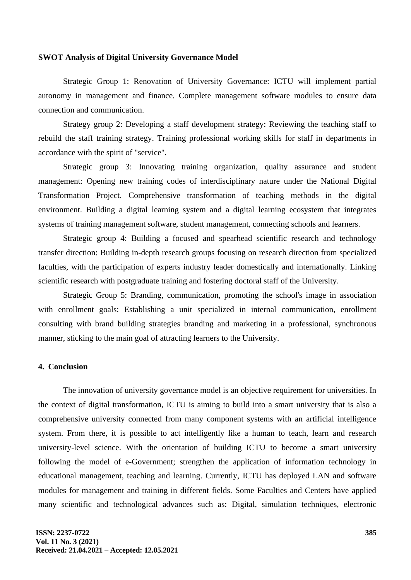#### **SWOT Analysis of Digital University Governance Model**

Strategic Group 1: Renovation of University Governance: ICTU will implement partial autonomy in management and finance. Complete management software modules to ensure data connection and communication.

Strategy group 2: Developing a staff development strategy: Reviewing the teaching staff to rebuild the staff training strategy. Training professional working skills for staff in departments in accordance with the spirit of "service".

Strategic group 3: Innovating training organization, quality assurance and student management: Opening new training codes of interdisciplinary nature under the National Digital Transformation Project. Comprehensive transformation of teaching methods in the digital environment. Building a digital learning system and a digital learning ecosystem that integrates systems of training management software, student management, connecting schools and learners.

Strategic group 4: Building a focused and spearhead scientific research and technology transfer direction: Building in-depth research groups focusing on research direction from specialized faculties, with the participation of experts industry leader domestically and internationally. Linking scientific research with postgraduate training and fostering doctoral staff of the University.

Strategic Group 5: Branding, communication, promoting the school's image in association with enrollment goals: Establishing a unit specialized in internal communication, enrollment consulting with brand building strategies branding and marketing in a professional, synchronous manner, sticking to the main goal of attracting learners to the University.

### **4. Conclusion**

The innovation of university governance model is an objective requirement for universities. In the context of digital transformation, ICTU is aiming to build into a smart university that is also a comprehensive university connected from many component systems with an artificial intelligence system. From there, it is possible to act intelligently like a human to teach, learn and research university-level science. With the orientation of building ICTU to become a smart university following the model of e-Government; strengthen the application of information technology in educational management, teaching and learning. Currently, ICTU has deployed LAN and software modules for management and training in different fields. Some Faculties and Centers have applied many scientific and technological advances such as: Digital, simulation techniques, electronic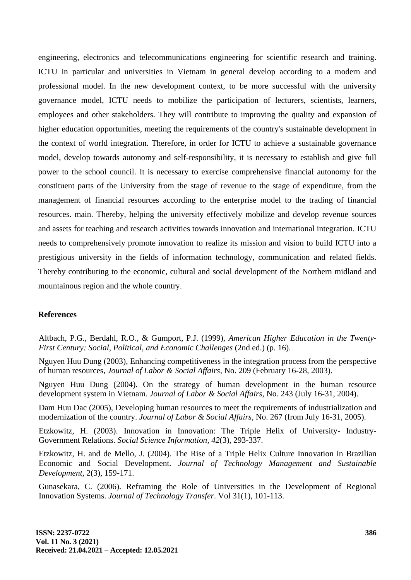engineering, electronics and telecommunications engineering for scientific research and training. ICTU in particular and universities in Vietnam in general develop according to a modern and professional model. In the new development context, to be more successful with the university governance model, ICTU needs to mobilize the participation of lecturers, scientists, learners, employees and other stakeholders. They will contribute to improving the quality and expansion of higher education opportunities, meeting the requirements of the country's sustainable development in the context of world integration. Therefore, in order for ICTU to achieve a sustainable governance model, develop towards autonomy and self-responsibility, it is necessary to establish and give full power to the school council. It is necessary to exercise comprehensive financial autonomy for the constituent parts of the University from the stage of revenue to the stage of expenditure, from the management of financial resources according to the enterprise model to the trading of financial resources. main. Thereby, helping the university effectively mobilize and develop revenue sources and assets for teaching and research activities towards innovation and international integration. ICTU needs to comprehensively promote innovation to realize its mission and vision to build ICTU into a prestigious university in the fields of information technology, communication and related fields. Thereby contributing to the economic, cultural and social development of the Northern midland and mountainous region and the whole country.

#### **References**

Altbach, P.G., Berdahl, R.O., & Gumport, P.J. (1999), *American Higher Education in the Twenty-First Century: Social, Political*, *and Economic Challenges* (2nd ed.) (p. 16).

Nguyen Huu Dung (2003), Enhancing competitiveness in the integration process from the perspective of human resources, *Journal of Labor & Social Affairs,* No. 209 (February 16-28, 2003).

Nguyen Huu Dung (2004). On the strategy of human development in the human resource development system in Vietnam. *Journal of Labor & Social Affairs,* No. 243 (July 16-31, 2004).

Dam Huu Dac (2005), Developing human resources to meet the requirements of industrialization and modernization of the country. *Journal of Labor & Social Affairs,* No. 267 (from July 16-31, 2005).

Etzkowitz, H. (2003). Innovation in Innovation: The Triple Helix of University- Industry-Government Relations. *Social Science Information, 42*(3), 293-337.

Etzkowitz, H. and de Mello, J. (2004). The Rise of a Triple Helix Culture Innovation in Brazilian Economic and Social Development. *Journal of Technology Management and Sustainable Development,* 2(3), 159-171.

Gunasekara, C. (2006). Reframing the Role of Universities in the Development of Regional Innovation Systems. *Journal of Technology Transfer*. Vol 31(1), 101-113.